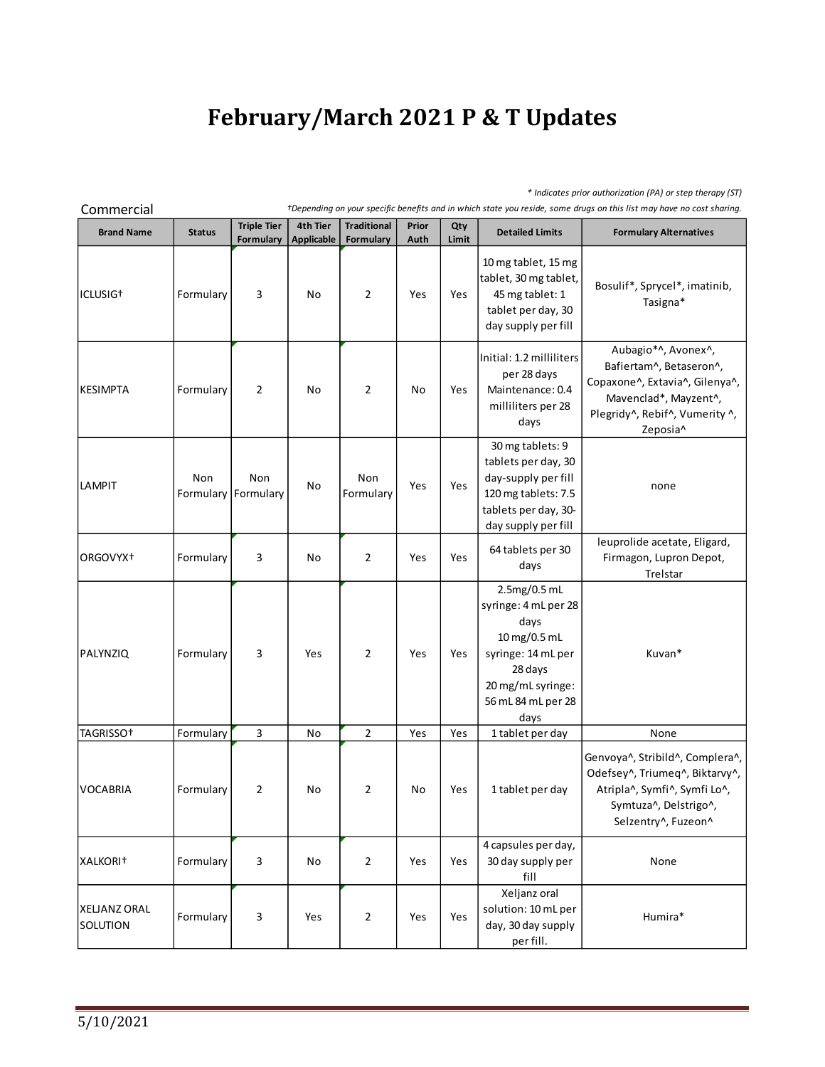## **February/March 2021 P & T Updates**

*\* Indicates prior authorization (PA) or step therapy (ST)*

**Brand Name Status Triple Tier Formulary 4th Tier Applicable Traditional Formulary Prior Auth Qty Limit Detailed Limits Formulary Alternatives** Brand Name Status Triple Tier 4th Tier Traditional Prior Qty<br>
Formulary Applicable Formulary Auth Limit<br>
ICLUSIG† Formulary 3 No 2 Yes Yes 10 mg tablet, 15 mg tablet, 30 mg tablet, 45 mg tablet: 1 tablet per day, 30 day supply per fill Bosulif\*, Sprycel\*, imatinib, Tasigna\* KESIMPTA Formulary 2 No 2 No Yes Initial: 1.2 milliliters per 28 days Maintenance: 0.4 milliliters per 28 days Aubagio\*^, Avonex^, Bafiertam^, Betaseron^, Copaxone^, Extavia^, Gilenya^, Mavenclad\*, Mayzent^, Plegridy^, Rebif^, Vumerity ^, Zeposia^ LAMPIT Non Formulary Non Non<br>Formulary No Non Formulary Yes Yes 30 mg tablets: 9 tablets per day, 30 day-supply per fill 120 mg tablets: 7.5 tablets per day, 30 day supply per fill none ORGOVYX† Formulary <sup>3</sup> N o <sup>2</sup> Yes Yes 64 tablets per 30 days leuprolide acetate, Eligard, Firmagon, Lupron Depot, Trelstar PALYNZIQ Formulary 3 Yes 2 Yes Yes 2.5mg/0.5 mL syringe: 4 mL per 28 days 10 mg/0.5 mL syringe: 14 mL per 28 days 20 mg/mL syringe: 56 mL 84 mL per 28 days Kuvan\* TAGRISSO† Formulary 3 No 2 Yes Yes 1 tablet per day<br>TAGRISSO† Formulary 3 No 2 Yes Yes 1 tablet per day Senvoya^, Stribild TAGRISSO<sup>†</sup> Formulary 3 No 2 Yes Yes 1 tablet per day<br>VOCABRIA Formulary 2 No 2 No Yes 1 tablet per day Genvoya^, Stribild^, Complera^, Odefsey^, Triumeq^, Biktarvy^, Atripla^, Symfi^, Symfi Lo^, Symtuza^, Delstrigo^, Selzentry^, Fuzeon^ VOCABRIA Formulary 2 No 2 No Yes<br>XALKORI† Formulary 3 No 2 Yes Yes 4 capsules per day, 30 day supply per fill None XELJANZ ORAL **SOLUTION** Formulary 3 Yes 2 Yes Yes Xeljanz oral solution: 10 mL per day, 30 day supply per fill. Humira\* Commercial *†Depending on your specific benefits and in which state you reside, some drugs on this list may have no cost sharing.*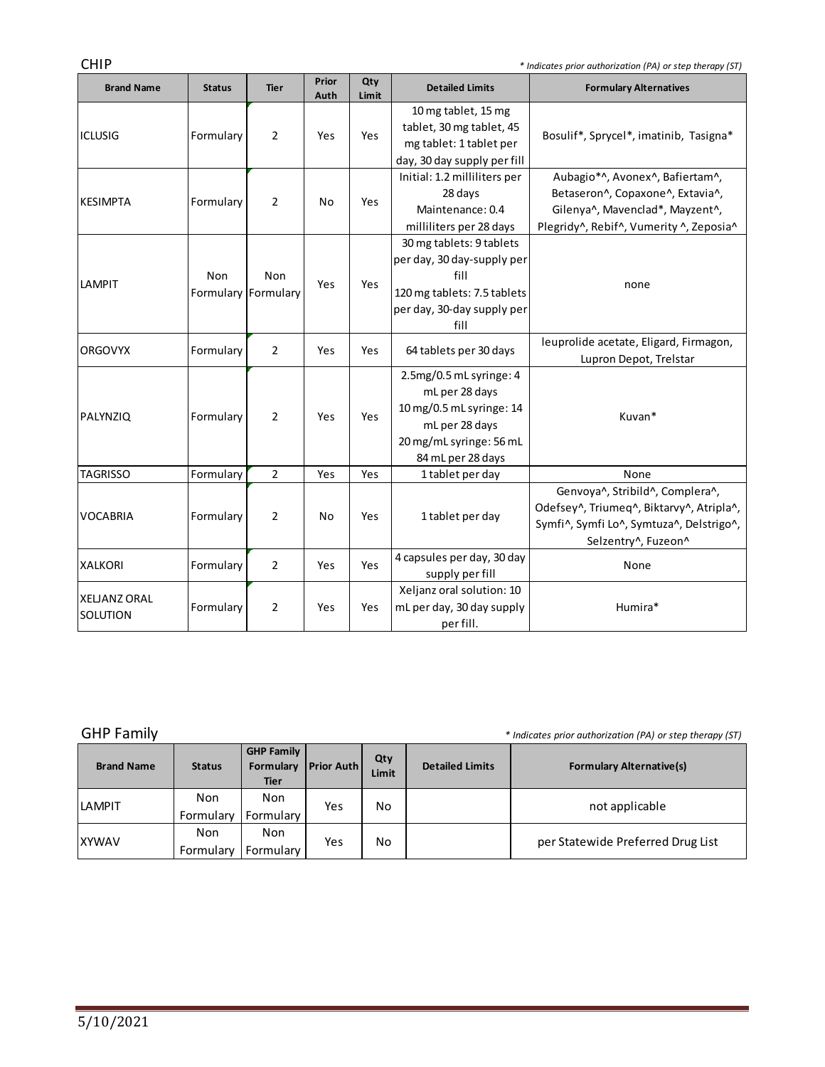CHIP *\* Indicates prior authorization (PA) or step therapy (ST)*

| <b>Brand Name</b>               | <b>Status</b>              | <b>Tier</b>    | Prior<br>Auth | Qty<br>Limit | <b>Detailed Limits</b>                                                                                                                  | <b>Formulary Alternatives</b>                                                                                                                     |
|---------------------------------|----------------------------|----------------|---------------|--------------|-----------------------------------------------------------------------------------------------------------------------------------------|---------------------------------------------------------------------------------------------------------------------------------------------------|
| <b>ICLUSIG</b>                  | Formulary                  | 2              | Yes           | Yes          | 10 mg tablet, 15 mg<br>tablet, 30 mg tablet, 45<br>mg tablet: 1 tablet per<br>day, 30 day supply per fill                               | Bosulif*, Sprycel*, imatinib, Tasigna*                                                                                                            |
| <b>KESIMPTA</b>                 | Formulary                  | 2              | No            | Yes          | Initial: 1.2 milliliters per<br>28 days<br>Maintenance: 0.4<br>milliliters per 28 days                                                  | Aubagio*^, Avonex^, Bafiertam^,<br>Betaseron^, Copaxone^, Extavia^,<br>Gilenya^, Mavenclad*, Mayzent^,<br>Plegridy^, Rebif^, Vumerity ^, Zeposia^ |
| <b>LAMPIT</b>                   | Non<br>Formulary Formulary | Non            | Yes           | Yes          | 30 mg tablets: 9 tablets<br>per day, 30 day-supply per<br>fill<br>120 mg tablets: 7.5 tablets<br>per day, 30-day supply per<br>fill     | none                                                                                                                                              |
| <b>ORGOVYX</b>                  | Formulary                  | 2              | Yes           | Yes          | 64 tablets per 30 days                                                                                                                  | leuprolide acetate, Eligard, Firmagon,<br>Lupron Depot, Trelstar                                                                                  |
| PALYNZIO                        | Formulary                  | $\overline{2}$ | Yes           | Yes          | 2.5mg/0.5 mL syringe: 4<br>mL per 28 days<br>10 mg/0.5 mL syringe: 14<br>mL per 28 days<br>20 mg/mL syringe: 56 mL<br>84 mL per 28 days | Kuvan*                                                                                                                                            |
| <b>TAGRISSO</b>                 | Formulary                  | $\overline{2}$ | Yes           | Yes          | 1 tablet per day                                                                                                                        | None                                                                                                                                              |
| <b>VOCABRIA</b>                 | Formulary                  | $\overline{2}$ | No            | Yes          | 1 tablet per day                                                                                                                        | Genvoya^, Stribild^, Complera^,<br>Odefsey^, Triumeq^, Biktarvy^, Atripla^,<br>Symfi^, Symfi Lo^, Symtuza^, Delstrigo^,<br>Selzentry^, Fuzeon^    |
| <b>XALKORI</b>                  | Formulary                  | $\overline{2}$ | Yes           | Yes          | 4 capsules per day, 30 day<br>supply per fill                                                                                           | None                                                                                                                                              |
| <b>XELJANZ ORAL</b><br>SOLUTION | Formulary                  | 2              | Yes           | Yes          | Xeljanz oral solution: 10<br>mL per day, 30 day supply<br>per fill.                                                                     | Humira*                                                                                                                                           |

GHP Family *\* Indicates prior authorization (PA) or step therapy (ST)*

**Contract Contract Contract** 

| <b>Brand Name</b> | <b>Status</b>    | <b>GHP Family</b><br>Formulary<br><b>Tier</b> | <b>Prior Auth</b> | Qty<br>Limit | <b>Detailed Limits</b> | <b>Formulary Alternative(s)</b>   |
|-------------------|------------------|-----------------------------------------------|-------------------|--------------|------------------------|-----------------------------------|
| <b>LAMPIT</b>     | Non<br>Formulary | Non<br>Formulary                              | Yes               | No           |                        | not applicable                    |
| <b>XYWAV</b>      | Non<br>Formulary | Non<br>Formulary                              | Yes               | No           |                        | per Statewide Preferred Drug List |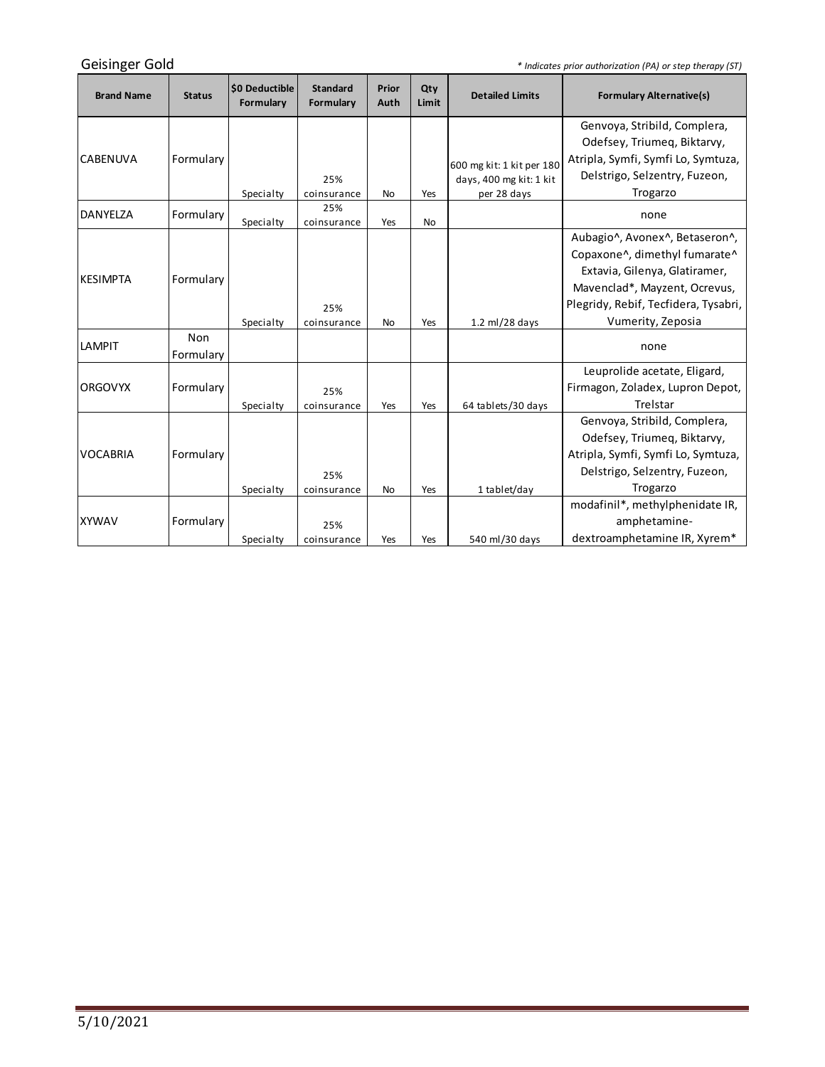Geisinger Gold

*\* Indicates prior authorization (PA) or step therapy (ST)*

and the control of the control of

| <b>Brand Name</b> | <b>Status</b>    | \$0 Deductible<br>Formulary | <b>Standard</b><br>Formulary | Prior<br>Auth | Qty<br>Limit | <b>Detailed Limits</b>    | <b>Formulary Alternative(s)</b>      |
|-------------------|------------------|-----------------------------|------------------------------|---------------|--------------|---------------------------|--------------------------------------|
|                   |                  |                             |                              |               |              |                           | Genvoya, Stribild, Complera,         |
|                   |                  |                             |                              |               |              |                           | Odefsey, Triumeg, Biktarvy,          |
| <b>CABENUVA</b>   | Formulary        |                             |                              |               |              | 600 mg kit: 1 kit per 180 | Atripla, Symfi, Symfi Lo, Symtuza,   |
|                   |                  |                             | 25%                          |               |              | days, 400 mg kit: 1 kit   | Delstrigo, Selzentry, Fuzeon,        |
|                   |                  | Specialty                   | coinsurance                  | No            | Yes          | per 28 days               | Trogarzo                             |
| <b>DANYELZA</b>   | Formulary        | Specialty                   | 25%<br>coinsurance           | Yes           | <b>No</b>    |                           | none                                 |
|                   |                  |                             |                              |               |              |                           | Aubagio^, Avonex^, Betaseron^,       |
|                   |                  |                             |                              |               |              |                           | Copaxone^, dimethyl fumarate^        |
| KESIMPTA          | Formulary        |                             |                              |               |              |                           | Extavia, Gilenya, Glatiramer,        |
|                   |                  |                             |                              |               |              |                           | Mavenclad*, Mayzent, Ocrevus,        |
|                   |                  |                             | 25%                          |               |              |                           | Plegridy, Rebif, Tecfidera, Tysabri, |
|                   |                  | Specialty                   | coinsurance                  | No            | Yes          | 1.2 ml/28 days            | Vumerity, Zeposia                    |
| <b>LAMPIT</b>     | Non<br>Formulary |                             |                              |               |              |                           | none                                 |
| <b>ORGOVYX</b>    | Formulary        |                             |                              |               |              |                           | Leuprolide acetate, Eligard,         |
|                   |                  |                             | 25%                          |               |              |                           | Firmagon, Zoladex, Lupron Depot,     |
|                   |                  | Specialty                   | coinsurance                  | Yes           | Yes          | 64 tablets/30 days        | Trelstar                             |
| <b>VOCABRIA</b>   | Formulary        |                             |                              |               |              |                           | Genvoya, Stribild, Complera,         |
|                   |                  |                             |                              |               |              |                           | Odefsey, Triumeq, Biktarvy,          |
|                   |                  |                             |                              |               |              |                           | Atripla, Symfi, Symfi Lo, Symtuza,   |
|                   |                  |                             | 25%                          |               |              |                           | Delstrigo, Selzentry, Fuzeon,        |
|                   |                  | Specialty                   | coinsurance                  | No            | Yes          | 1 tablet/day              | Trogarzo                             |
| <b>XYWAV</b>      |                  |                             |                              |               |              |                           | modafinil*, methylphenidate IR,      |
|                   | Formulary        |                             | 25%                          |               |              |                           | amphetamine-                         |
|                   |                  | Specialty                   | coinsurance                  | Yes           | Yes          | 540 ml/30 days            | dextroamphetamine IR, Xyrem*         |